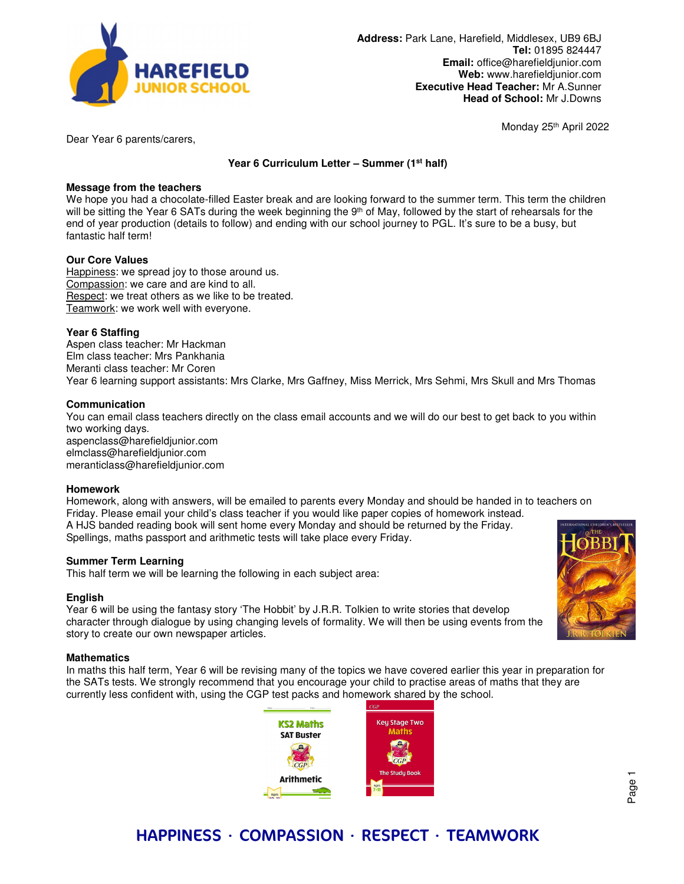

Monday 25th April 2022

Dear Year 6 parents/carers,

# **Year 6 Curriculum Letter – Summer (1st half)**

# **Message from the teachers**

We hope you had a chocolate-filled Easter break and are looking forward to the summer term. This term the children will be sitting the Year 6 SATs during the week beginning the 9<sup>th</sup> of May, followed by the start of rehearsals for the end of year production (details to follow) and ending with our school journey to PGL. It's sure to be a busy, but fantastic half term!

# **Our Core Values**

Happiness: we spread joy to those around us. Compassion: we care and are kind to all. Respect: we treat others as we like to be treated. Teamwork: we work well with everyone.

# **Year 6 Staffing**

Aspen class teacher: Mr Hackman Elm class teacher: Mrs Pankhania Meranti class teacher: Mr Coren Year 6 learning support assistants: Mrs Clarke, Mrs Gaffney, Miss Merrick, Mrs Sehmi, Mrs Skull and Mrs Thomas

## **Communication**

You can email class teachers directly on the class email accounts and we will do our best to get back to you within two working days. aspenclass@harefieldjunior.com elmclass@harefieldjunior.com meranticlass@harefieldjunior.com

### **Homework**

Homework, along with answers, will be emailed to parents every Monday and should be handed in to teachers on Friday. Please email your child's class teacher if you would like paper copies of homework instead. A HJS banded reading book will sent home every Monday and should be returned by the Friday. Spellings, maths passport and arithmetic tests will take place every Friday.

# **Summer Term Learning**

This half term we will be learning the following in each subject area:

### **English**

Year 6 will be using the fantasy story 'The Hobbit' by J.R.R. Tolkien to write stories that develop character through dialogue by using changing levels of formality. We will then be using events from the story to create our own newspaper articles.

### **Mathematics**

In maths this half term, Year 6 will be revising many of the topics we have covered earlier this year in preparation for the SATs tests. We strongly recommend that you encourage your child to practise areas of maths that they are currently less confident with, using the CGP test packs and homework shared by the school.





Page 1

# HAPPINESS ∙ COMPASSION ∙ RESPECT ∙ TEAMWORK